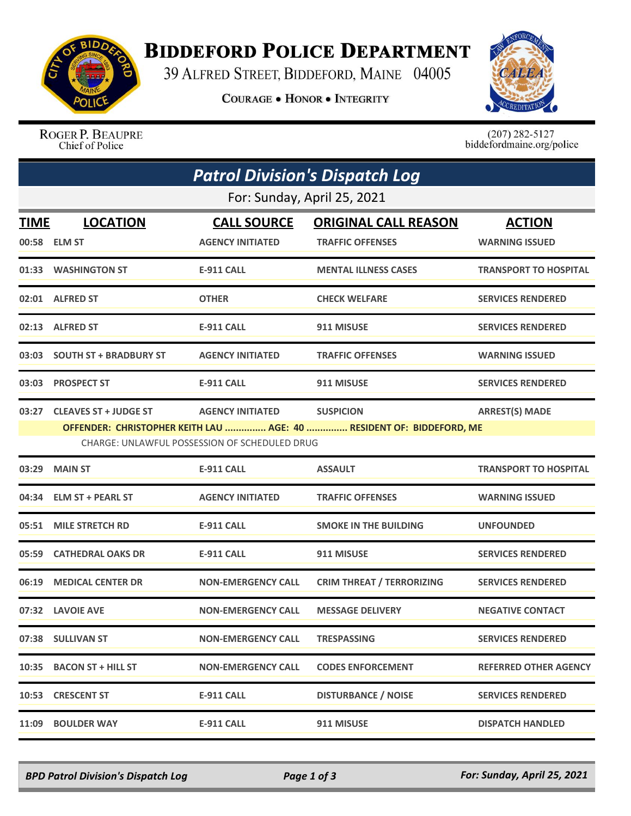

## **BIDDEFORD POLICE DEPARTMENT**

39 ALFRED STREET, BIDDEFORD, MAINE 04005

**COURAGE . HONOR . INTEGRITY** 



ROGER P. BEAUPRE Chief of Police

 $(207)$  282-5127<br>biddefordmaine.org/police

|                             | <b>Patrol Division's Dispatch Log</b>                                                                                                                                                                                         |                           |                                  |                              |  |  |  |  |
|-----------------------------|-------------------------------------------------------------------------------------------------------------------------------------------------------------------------------------------------------------------------------|---------------------------|----------------------------------|------------------------------|--|--|--|--|
| For: Sunday, April 25, 2021 |                                                                                                                                                                                                                               |                           |                                  |                              |  |  |  |  |
| <b>TIME</b>                 | <b>LOCATION</b>                                                                                                                                                                                                               | <b>CALL SOURCE</b>        | <b>ORIGINAL CALL REASON</b>      | <b>ACTION</b>                |  |  |  |  |
|                             | 00:58 ELM ST                                                                                                                                                                                                                  | <b>AGENCY INITIATED</b>   | <b>TRAFFIC OFFENSES</b>          | <b>WARNING ISSUED</b>        |  |  |  |  |
|                             | 01:33 WASHINGTON ST                                                                                                                                                                                                           | <b>E-911 CALL</b>         | <b>MENTAL ILLNESS CASES</b>      | <b>TRANSPORT TO HOSPITAL</b> |  |  |  |  |
|                             | 02:01 ALFRED ST                                                                                                                                                                                                               | <b>OTHER</b>              | <b>CHECK WELFARE</b>             | <b>SERVICES RENDERED</b>     |  |  |  |  |
|                             | 02:13 ALFRED ST                                                                                                                                                                                                               | E-911 CALL                | 911 MISUSE                       | <b>SERVICES RENDERED</b>     |  |  |  |  |
|                             | 03:03 SOUTH ST + BRADBURY ST                                                                                                                                                                                                  | <b>AGENCY INITIATED</b>   | <b>TRAFFIC OFFENSES</b>          | <b>WARNING ISSUED</b>        |  |  |  |  |
|                             | 03:03 PROSPECT ST                                                                                                                                                                                                             | <b>E-911 CALL</b>         | 911 MISUSE                       | <b>SERVICES RENDERED</b>     |  |  |  |  |
| 03:27                       | <b>CLEAVES ST + JUDGE ST</b><br><b>AGENCY INITIATED</b><br><b>SUSPICION</b><br><b>ARREST(S) MADE</b><br>OFFENDER: CHRISTOPHER KEITH LAU  AGE: 40  RESIDENT OF: BIDDEFORD, ME<br>CHARGE: UNLAWFUL POSSESSION OF SCHEDULED DRUG |                           |                                  |                              |  |  |  |  |
| 03:29                       | <b>MAIN ST</b>                                                                                                                                                                                                                | <b>E-911 CALL</b>         | <b>ASSAULT</b>                   | <b>TRANSPORT TO HOSPITAL</b> |  |  |  |  |
|                             | 04:34 ELM ST + PEARL ST                                                                                                                                                                                                       | <b>AGENCY INITIATED</b>   | <b>TRAFFIC OFFENSES</b>          | <b>WARNING ISSUED</b>        |  |  |  |  |
| 05:51                       | <b>MILE STRETCH RD</b>                                                                                                                                                                                                        | <b>E-911 CALL</b>         | <b>SMOKE IN THE BUILDING</b>     | <b>UNFOUNDED</b>             |  |  |  |  |
| 05:59                       | <b>CATHEDRAL OAKS DR</b>                                                                                                                                                                                                      | <b>E-911 CALL</b>         | 911 MISUSE                       | <b>SERVICES RENDERED</b>     |  |  |  |  |
| 06:19                       | <b>MEDICAL CENTER DR</b>                                                                                                                                                                                                      | <b>NON-EMERGENCY CALL</b> | <b>CRIM THREAT / TERRORIZING</b> | <b>SERVICES RENDERED</b>     |  |  |  |  |
|                             | 07:32 LAVOIE AVE                                                                                                                                                                                                              | <b>NON-EMERGENCY CALL</b> | <b>MESSAGE DELIVERY</b>          | <b>NEGATIVE CONTACT</b>      |  |  |  |  |
|                             | 07:38 SULLIVAN ST                                                                                                                                                                                                             | <b>NON-EMERGENCY CALL</b> | <b>TRESPASSING</b>               | <b>SERVICES RENDERED</b>     |  |  |  |  |
|                             | 10:35 BACON ST + HILL ST                                                                                                                                                                                                      | <b>NON-EMERGENCY CALL</b> | <b>CODES ENFORCEMENT</b>         | <b>REFERRED OTHER AGENCY</b> |  |  |  |  |
|                             | 10:53 CRESCENT ST                                                                                                                                                                                                             | <b>E-911 CALL</b>         | <b>DISTURBANCE / NOISE</b>       | <b>SERVICES RENDERED</b>     |  |  |  |  |
| 11:09                       | <b>BOULDER WAY</b>                                                                                                                                                                                                            | E-911 CALL                | 911 MISUSE                       | <b>DISPATCH HANDLED</b>      |  |  |  |  |

*BPD Patrol Division's Dispatch Log Page 1 of 3 For: Sunday, April 25, 2021*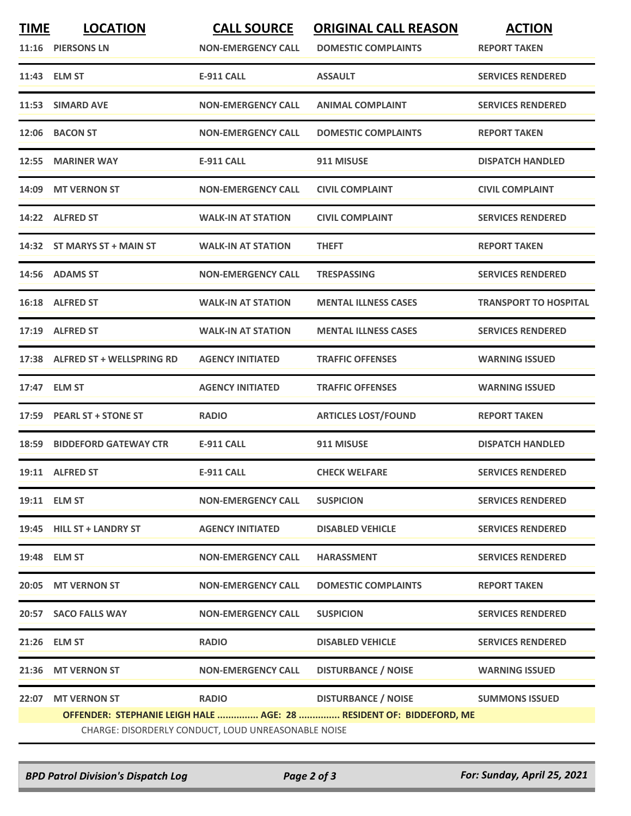| <b>TIME</b> | <b>LOCATION</b><br>11:16 PIERSONS LN                                                                                       | <b>CALL SOURCE</b><br><b>NON-EMERGENCY CALL</b> | <b>ORIGINAL CALL REASON</b><br><b>DOMESTIC COMPLAINTS</b> | <b>ACTION</b><br><b>REPORT TAKEN</b> |  |  |
|-------------|----------------------------------------------------------------------------------------------------------------------------|-------------------------------------------------|-----------------------------------------------------------|--------------------------------------|--|--|
|             | 11:43 ELM ST                                                                                                               | <b>E-911 CALL</b>                               | <b>ASSAULT</b>                                            | <b>SERVICES RENDERED</b>             |  |  |
|             | 11:53 SIMARD AVE                                                                                                           | <b>NON-EMERGENCY CALL</b>                       | <b>ANIMAL COMPLAINT</b>                                   | <b>SERVICES RENDERED</b>             |  |  |
| 12:06       | <b>BACON ST</b>                                                                                                            | <b>NON-EMERGENCY CALL</b>                       | <b>DOMESTIC COMPLAINTS</b>                                | <b>REPORT TAKEN</b>                  |  |  |
|             | 12:55 MARINER WAY                                                                                                          | <b>E-911 CALL</b>                               | 911 MISUSE                                                | <b>DISPATCH HANDLED</b>              |  |  |
|             | 14:09 MT VERNON ST                                                                                                         | <b>NON-EMERGENCY CALL</b>                       | <b>CIVIL COMPLAINT</b>                                    | <b>CIVIL COMPLAINT</b>               |  |  |
| 14:22       | <b>ALFRED ST</b>                                                                                                           | <b>WALK-IN AT STATION</b>                       | <b>CIVIL COMPLAINT</b>                                    | <b>SERVICES RENDERED</b>             |  |  |
|             | 14:32 ST MARYS ST + MAIN ST                                                                                                | <b>WALK-IN AT STATION</b>                       | <b>THEFT</b>                                              | <b>REPORT TAKEN</b>                  |  |  |
|             | 14:56 ADAMS ST                                                                                                             | <b>NON-EMERGENCY CALL</b>                       | <b>TRESPASSING</b>                                        | <b>SERVICES RENDERED</b>             |  |  |
|             | 16:18 ALFRED ST                                                                                                            | <b>WALK-IN AT STATION</b>                       | <b>MENTAL ILLNESS CASES</b>                               | <b>TRANSPORT TO HOSPITAL</b>         |  |  |
|             | 17:19 ALFRED ST                                                                                                            | <b>WALK-IN AT STATION</b>                       | <b>MENTAL ILLNESS CASES</b>                               | <b>SERVICES RENDERED</b>             |  |  |
|             | 17:38 ALFRED ST + WELLSPRING RD                                                                                            | <b>AGENCY INITIATED</b>                         | <b>TRAFFIC OFFENSES</b>                                   | <b>WARNING ISSUED</b>                |  |  |
|             | 17:47 ELM ST                                                                                                               | <b>AGENCY INITIATED</b>                         | <b>TRAFFIC OFFENSES</b>                                   | <b>WARNING ISSUED</b>                |  |  |
| 17:59       | <b>PEARL ST + STONE ST</b>                                                                                                 | <b>RADIO</b>                                    | <b>ARTICLES LOST/FOUND</b>                                | <b>REPORT TAKEN</b>                  |  |  |
|             | <b>18:59 BIDDEFORD GATEWAY CTR</b>                                                                                         | <b>E-911 CALL</b>                               | 911 MISUSE                                                | <b>DISPATCH HANDLED</b>              |  |  |
|             | 19:11 ALFRED ST                                                                                                            | <b>E-911 CALL</b>                               | <b>CHECK WELFARE</b>                                      | <b>SERVICES RENDERED</b>             |  |  |
|             | 19:11 ELM ST                                                                                                               | <b>NON-EMERGENCY CALL</b>                       | <b>SUSPICION</b>                                          | <b>SERVICES RENDERED</b>             |  |  |
|             | 19:45 HILL ST + LANDRY ST                                                                                                  | <b>AGENCY INITIATED</b>                         | <b>DISABLED VEHICLE</b>                                   | <b>SERVICES RENDERED</b>             |  |  |
| 19:48       | <b>ELM ST</b>                                                                                                              | <b>NON-EMERGENCY CALL</b>                       | <b>HARASSMENT</b>                                         | <b>SERVICES RENDERED</b>             |  |  |
| 20:05       | <b>MT VERNON ST</b>                                                                                                        | <b>NON-EMERGENCY CALL</b>                       | <b>DOMESTIC COMPLAINTS</b>                                | <b>REPORT TAKEN</b>                  |  |  |
| 20:57       | <b>SACO FALLS WAY</b>                                                                                                      | <b>NON-EMERGENCY CALL</b>                       | <b>SUSPICION</b>                                          | <b>SERVICES RENDERED</b>             |  |  |
| 21:26       | <b>ELM ST</b>                                                                                                              | <b>RADIO</b>                                    | <b>DISABLED VEHICLE</b>                                   | <b>SERVICES RENDERED</b>             |  |  |
| 21:36       | <b>MT VERNON ST</b>                                                                                                        | <b>NON-EMERGENCY CALL</b>                       | <b>DISTURBANCE / NOISE</b>                                | <b>WARNING ISSUED</b>                |  |  |
| 22:07       | <b>MT VERNON ST</b>                                                                                                        | <b>RADIO</b>                                    | <b>DISTURBANCE / NOISE</b>                                | <b>SUMMONS ISSUED</b>                |  |  |
|             | OFFENDER: STEPHANIE LEIGH HALE  AGE: 28  RESIDENT OF: BIDDEFORD, ME<br>CHARGE: DISORDERLY CONDUCT, LOUD UNREASONABLE NOISE |                                                 |                                                           |                                      |  |  |

*BPD Patrol Division's Dispatch Log Page 2 of 3 For: Sunday, April 25, 2021*